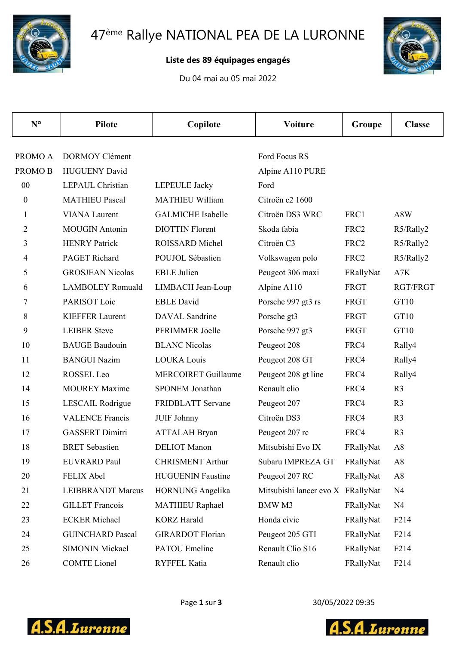

## Liste des 89 équipages engagés

Du 04 mai au 05 mai 2022



| $N^{\circ}$      | <b>Pilote</b>            | Copilote                   | <b>Voiture</b>                    | Groupe           | <b>Classe</b>    |
|------------------|--------------------------|----------------------------|-----------------------------------|------------------|------------------|
|                  |                          |                            |                                   |                  |                  |
| PROMO A          | <b>DORMOY Clément</b>    |                            | Ford Focus RS                     |                  |                  |
| <b>PROMOB</b>    | <b>HUGUENY David</b>     |                            | Alpine A110 PURE                  |                  |                  |
| 00               | <b>LEPAUL Christian</b>  | <b>LEPEULE</b> Jacky       | Ford                              |                  |                  |
| $\boldsymbol{0}$ | <b>MATHIEU Pascal</b>    | <b>MATHIEU William</b>     | Citroën c2 1600                   |                  |                  |
| $\mathbf{1}$     | <b>VIANA</b> Laurent     | <b>GALMICHE</b> Isabelle   | Citroën DS3 WRC                   | FRC1             | A8W              |
| 2                | <b>MOUGIN</b> Antonin    | <b>DIOTTIN</b> Florent     | Skoda fabia                       | FRC <sub>2</sub> | R5/Rally2        |
| 3                | <b>HENRY Patrick</b>     | ROISSARD Michel            | Citroën C3                        | FRC <sub>2</sub> | R5/Rally2        |
| $\overline{4}$   | <b>PAGET Richard</b>     | POUJOL Sébastien           | Volkswagen polo                   | FRC2             | R5/Rally2        |
| 5                | <b>GROSJEAN Nicolas</b>  | <b>EBLE</b> Julien         | Peugeot 306 maxi                  | FRallyNat        | A7K              |
| 6                | <b>LAMBOLEY Romuald</b>  | LIMBACH Jean-Loup          | Alpine A110                       | FRGT             | RGT/FRGT         |
| 7                | PARISOT Loic             | <b>EBLE</b> David          | Porsche 997 gt3 rs                | FRGT             | GT10             |
| 8                | <b>KIEFFER Laurent</b>   | <b>DAVAL</b> Sandrine      | Porsche gt3                       | FRGT             | GT10             |
| 9                | <b>LEIBER Steve</b>      | PFRIMMER Joelle            | Porsche 997 gt3                   | FRGT             | GT10             |
| 10               | <b>BAUGE</b> Baudouin    | <b>BLANC Nicolas</b>       | Peugeot 208                       | FRC4             | Rally4           |
| 11               | <b>BANGUI Nazim</b>      | <b>LOUKA Louis</b>         | Peugeot 208 GT                    | FRC4             | Rally4           |
| 12               | ROSSEL Leo               | <b>MERCOIRET Guillaume</b> | Peugeot 208 gt line               | FRC4             | Rally4           |
| 14               | <b>MOUREY Maxime</b>     | <b>SPONEM Jonathan</b>     | Renault clio                      | FRC4             | R <sub>3</sub>   |
| 15               | LESCAIL Rodrigue         | FRIDBLATT Servane          | Peugeot 207                       | FRC4             | R <sub>3</sub>   |
| 16               | <b>VALENCE Francis</b>   | JUIF Johnny                | Citroën DS3                       | FRC4             | R <sub>3</sub>   |
| 17               | <b>GASSERT Dimitri</b>   | <b>ATTALAH</b> Bryan       | Peugeot 207 rc                    | FRC4             | R <sub>3</sub>   |
| 18               | <b>BRET</b> Sebastien    | <b>DELIOT</b> Manon        | Mitsubishi Evo IX                 | FRallyNat        | A8               |
| 19               | <b>EUVRARD Paul</b>      | <b>CHRISMENT Arthur</b>    | Subaru IMPREZA GT                 | FRallyNat        | A8               |
| 20               | FELIX Abel               | <b>HUGUENIN Faustine</b>   | Peugeot 207 RC                    | FRallyNat        | A8               |
| 21               | <b>LEIBBRANDT Marcus</b> | HORNUNG Angelika           | Mitsubishi lancer evo X FRallyNat |                  | N <sub>4</sub>   |
| 22               | <b>GILLET</b> Francois   | <b>MATHIEU Raphael</b>     | BMW M3                            | FRallyNat        | N <sub>4</sub>   |
| 23               | <b>ECKER</b> Michael     | <b>KORZ</b> Harald         | Honda civic                       | FRallyNat        | F <sub>214</sub> |
| 24               | <b>GUINCHARD Pascal</b>  | <b>GIRARDOT Florian</b>    | Peugeot 205 GTI                   | FRallyNat        | F214             |
| 25               | <b>SIMONIN Mickael</b>   | <b>PATOU</b> Emeline       | Renault Clio S16                  | FRallyNat        | F <sub>214</sub> |
| 26               | <b>COMTE</b> Lionel      | RYFFEL Katia               | Renault clio                      | FRallyNat        | F <sub>214</sub> |



Page 1 sur 3 30/05/2022 09:35

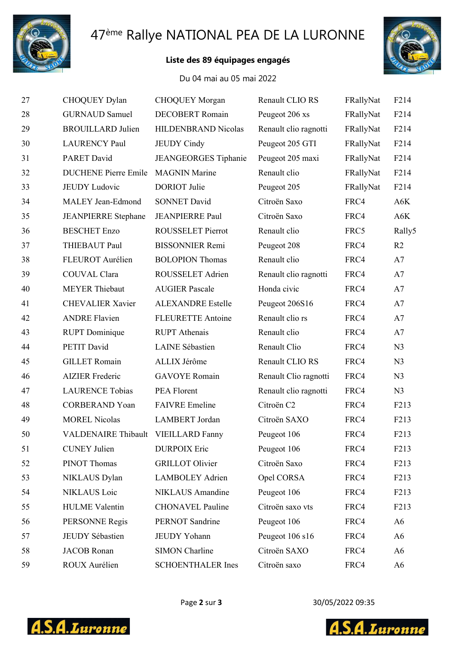

# 47ème Rallye NATIONAL PEA DE LA LURONNE

## Liste des 89 équipages engagés



#### Du 04 mai au 05 mai 2022

| 27 | CHOQUEY Dylan               | <b>CHOQUEY Morgan</b>    | Renault CLIO RS       | FRallyNat | F214              |
|----|-----------------------------|--------------------------|-----------------------|-----------|-------------------|
| 28 | <b>GURNAUD Samuel</b>       | <b>DECOBERT</b> Romain   | Peugeot 206 xs        | FRallyNat | F214              |
| 29 | <b>BROUILLARD Julien</b>    | HILDENBRAND Nicolas      | Renault clio ragnotti | FRallyNat | F214              |
| 30 | <b>LAURENCY Paul</b>        | <b>JEUDY</b> Cindy       | Peugeot 205 GTI       | FRallyNat | F214              |
| 31 | <b>PARET David</b>          | JEANGEORGES Tiphanie     | Peugeot 205 maxi      | FRallyNat | F214              |
| 32 | <b>DUCHENE Pierre Emile</b> | <b>MAGNIN Marine</b>     | Renault clio          | FRallyNat | F214              |
| 33 | <b>JEUDY Ludovic</b>        | <b>DORIOT</b> Julie      | Peugeot 205           | FRallyNat | F214              |
| 34 | <b>MALEY Jean-Edmond</b>    | <b>SONNET David</b>      | Citroën Saxo          | FRC4      | A6K               |
| 35 | <b>JEANPIERRE</b> Stephane  | <b>JEANPIERRE Paul</b>   | Citroën Saxo          | FRC4      | A6K               |
| 36 | <b>BESCHET</b> Enzo         | <b>ROUSSELET Pierrot</b> | Renault clio          | FRC5      | Rally5            |
| 37 | THIEBAUT Paul               | <b>BISSONNIER Remi</b>   | Peugeot 208           | FRC4      | R2                |
| 38 | FLEUROT Aurélien            | <b>BOLOPION Thomas</b>   | Renault clio          | FRC4      | A7                |
| 39 | COUVAL Clara                | ROUSSELET Adrien         | Renault clio ragnotti | FRC4      | A7                |
| 40 | <b>MEYER Thiebaut</b>       | <b>AUGIER Pascale</b>    | Honda civic           | FRC4      | A7                |
| 41 | <b>CHEVALIER Xavier</b>     | <b>ALEXANDRE Estelle</b> | Peugeot 206S16        | FRC4      | A7                |
| 42 | <b>ANDRE Flavien</b>        | <b>FLEURETTE Antoine</b> | Renault clio rs       | FRC4      | A7                |
| 43 | <b>RUPT</b> Dominique       | <b>RUPT</b> Athenais     | Renault clio          | FRC4      | A7                |
| 44 | PETIT David                 | <b>LAINE</b> Sébastien   | Renault Clio          | FRC4      | N <sub>3</sub>    |
| 45 | <b>GILLET</b> Romain        | ALLIX Jérôme             | Renault CLIO RS       | FRC4      | N <sub>3</sub>    |
| 46 | <b>AIZIER Frederic</b>      | <b>GAVOYE</b> Romain     | Renault Clio ragnotti | FRC4      | N <sub>3</sub>    |
| 47 | <b>LAURENCE Tobias</b>      | PEA Florent              | Renault clio ragnotti | FRC4      | N <sub>3</sub>    |
| 48 | <b>CORBERAND Yoan</b>       | <b>FAIVRE</b> Emeline    | Citroën C2            | FRC4      | F213              |
| 49 | <b>MOREL Nicolas</b>        | <b>LAMBERT</b> Jordan    | Citroën SAXO          | FRC4      | F213              |
| 50 | <b>VALDENAIRE Thibault</b>  | <b>VIEILLARD Fanny</b>   | Peugeot 106           | FRC4      | F213              |
| 51 | <b>CUNEY Julien</b>         | <b>DURPOIX Eric</b>      | Peugeot 106           | FRC4      | F <sub>213</sub>  |
| 52 | PINOT Thomas                | <b>GRILLOT</b> Olivier   | Citroën Saxo          | FRC4      | F <sub>2</sub> 13 |
| 53 | NIKLAUS Dylan               | <b>LAMBOLEY Adrien</b>   | Opel CORSA            | FRC4      | F <sub>213</sub>  |
| 54 | NIKLAUS Loic                | NIKLAUS Amandine         | Peugeot 106           | FRC4      | F <sub>213</sub>  |
| 55 | <b>HULME</b> Valentin       | <b>CHONAVEL Pauline</b>  | Citroën saxo vts      | FRC4      | F <sub>213</sub>  |
| 56 | PERSONNE Regis              | PERNOT Sandrine          | Peugeot 106           | FRC4      | A <sub>6</sub>    |
| 57 | JEUDY Sébastien             | JEUDY Yohann             | Peugeot 106 s16       | FRC4      | A6                |
| 58 | <b>JACOB</b> Ronan          | <b>SIMON Charline</b>    | Citroën SAXO          | FRC4      | A6                |
| 59 | ROUX Aurélien               | <b>SCHOENTHALER Ines</b> | Citroën saxo          | FRC4      | A <sub>6</sub>    |



Page 2 sur 3 30/05/2022 09:35



S.A.Luronne  $\Delta$